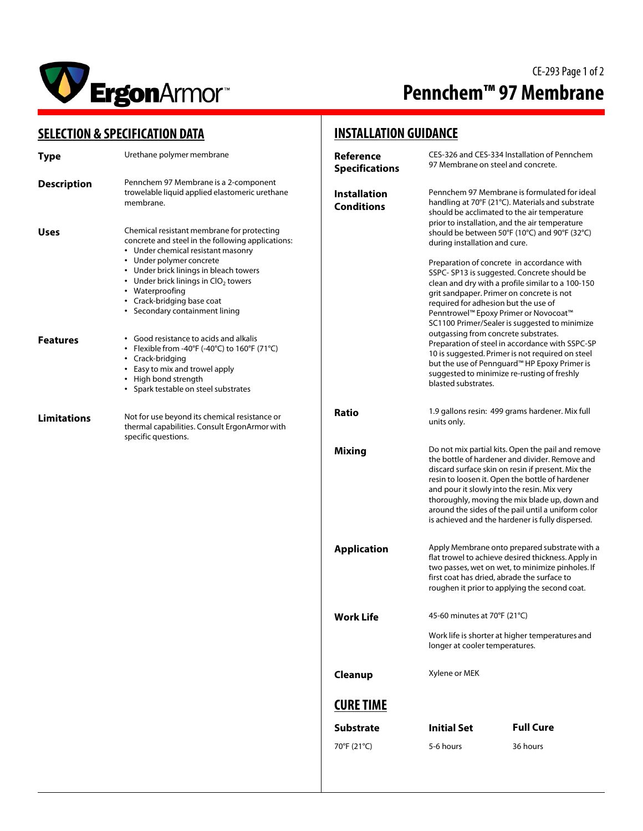

# CE-293 Page 1 of 2 **Pennchem™ 97 Membrane**

### **SELECTION & SPECIFICATION DATA**

| <b>SELECTION &amp; SPECIFICATION DATA</b> |                                                                                                                                                                                                                                                                                                                                          | <b>INSTALLATION GUIDANCE</b>             |                                                                                                                                                                                                                                                                                                                                                                              |                                                                                                                                                                                                                                                                                                                                                                                                                       |
|-------------------------------------------|------------------------------------------------------------------------------------------------------------------------------------------------------------------------------------------------------------------------------------------------------------------------------------------------------------------------------------------|------------------------------------------|------------------------------------------------------------------------------------------------------------------------------------------------------------------------------------------------------------------------------------------------------------------------------------------------------------------------------------------------------------------------------|-----------------------------------------------------------------------------------------------------------------------------------------------------------------------------------------------------------------------------------------------------------------------------------------------------------------------------------------------------------------------------------------------------------------------|
| <b>Type</b>                               | Urethane polymer membrane                                                                                                                                                                                                                                                                                                                | Reference<br><b>Specifications</b>       |                                                                                                                                                                                                                                                                                                                                                                              | CES-326 and CES-334 Installation of Pennchem<br>97 Membrane on steel and concrete.                                                                                                                                                                                                                                                                                                                                    |
| <b>Description</b>                        | Pennchem 97 Membrane is a 2-component<br>trowelable liquid applied elastomeric urethane<br>membrane.                                                                                                                                                                                                                                     | <b>Installation</b><br><b>Conditions</b> |                                                                                                                                                                                                                                                                                                                                                                              | Pennchem 97 Membrane is formulated for ideal<br>handling at 70°F (21°C). Materials and substrate<br>should be acclimated to the air temperature                                                                                                                                                                                                                                                                       |
| <b>Uses</b>                               | Chemical resistant membrane for protecting<br>concrete and steel in the following applications:<br>• Under chemical resistant masonry<br>• Under polymer concrete<br>• Under brick linings in bleach towers<br>• Under brick linings in $ClO2$ towers<br>• Waterproofing<br>• Crack-bridging base coat<br>• Secondary containment lining |                                          | during installation and cure.<br>required for adhesion but the use of                                                                                                                                                                                                                                                                                                        | prior to installation, and the air temperature<br>should be between 50°F (10°C) and 90°F (32°C)<br>Preparation of concrete in accordance with<br>SSPC-SP13 is suggested. Concrete should be<br>clean and dry with a profile similar to a 100-150<br>grit sandpaper. Primer on concrete is not<br>Penntrowel™ Epoxy Primer or Novocoat™<br>SC1100 Primer/Sealer is suggested to minimize                               |
| <b>Features</b>                           | • Good resistance to acids and alkalis<br>• Flexible from -40°F (-40°C) to 160°F (71°C)<br>• Crack-bridging<br>• Easy to mix and trowel apply<br>• High bond strength<br>• Spark testable on steel substrates                                                                                                                            |                                          | blasted substrates.                                                                                                                                                                                                                                                                                                                                                          | outgassing from concrete substrates.<br>Preparation of steel in accordance with SSPC-SP<br>10 is suggested. Primer is not required on steel<br>but the use of Pennguard <sup>™</sup> HP Epoxy Primer is<br>suggested to minimize re-rusting of freshly                                                                                                                                                                |
| <b>Limitations</b>                        | Not for use beyond its chemical resistance or<br>thermal capabilities. Consult ErgonArmor with<br>specific questions.                                                                                                                                                                                                                    | <b>Ratio</b>                             | 1.9 gallons resin: 499 grams hardener. Mix full<br>units only.                                                                                                                                                                                                                                                                                                               |                                                                                                                                                                                                                                                                                                                                                                                                                       |
|                                           |                                                                                                                                                                                                                                                                                                                                          | <b>Mixing</b>                            |                                                                                                                                                                                                                                                                                                                                                                              | Do not mix partial kits. Open the pail and remove<br>the bottle of hardener and divider. Remove and<br>discard surface skin on resin if present. Mix the<br>resin to loosen it. Open the bottle of hardener<br>and pour it slowly into the resin. Mix very<br>thoroughly, moving the mix blade up, down and<br>around the sides of the pail until a uniform color<br>is achieved and the hardener is fully dispersed. |
|                                           |                                                                                                                                                                                                                                                                                                                                          | <b>Application</b>                       | Apply Membrane onto prepared substrate with a<br>flat trowel to achieve desired thickness. Apply in<br>two passes, wet on wet, to minimize pinholes. If<br>first coat has dried, abrade the surface to<br>roughen it prior to applying the second coat.<br>45-60 minutes at 70°F (21°C)<br>Work life is shorter at higher temperatures and<br>longer at cooler temperatures. |                                                                                                                                                                                                                                                                                                                                                                                                                       |
|                                           |                                                                                                                                                                                                                                                                                                                                          | <b>Work Life</b>                         |                                                                                                                                                                                                                                                                                                                                                                              |                                                                                                                                                                                                                                                                                                                                                                                                                       |
|                                           |                                                                                                                                                                                                                                                                                                                                          |                                          |                                                                                                                                                                                                                                                                                                                                                                              |                                                                                                                                                                                                                                                                                                                                                                                                                       |
|                                           |                                                                                                                                                                                                                                                                                                                                          | Cleanup                                  | Xylene or MEK                                                                                                                                                                                                                                                                                                                                                                |                                                                                                                                                                                                                                                                                                                                                                                                                       |
|                                           |                                                                                                                                                                                                                                                                                                                                          | <b>CURE TIME</b>                         |                                                                                                                                                                                                                                                                                                                                                                              |                                                                                                                                                                                                                                                                                                                                                                                                                       |
|                                           |                                                                                                                                                                                                                                                                                                                                          | <b>Substrate</b>                         | <b>Initial Set</b>                                                                                                                                                                                                                                                                                                                                                           | <b>Full Cure</b>                                                                                                                                                                                                                                                                                                                                                                                                      |
|                                           |                                                                                                                                                                                                                                                                                                                                          | 70°F (21°C)                              | 5-6 hours                                                                                                                                                                                                                                                                                                                                                                    | 36 hours                                                                                                                                                                                                                                                                                                                                                                                                              |
|                                           |                                                                                                                                                                                                                                                                                                                                          |                                          |                                                                                                                                                                                                                                                                                                                                                                              |                                                                                                                                                                                                                                                                                                                                                                                                                       |